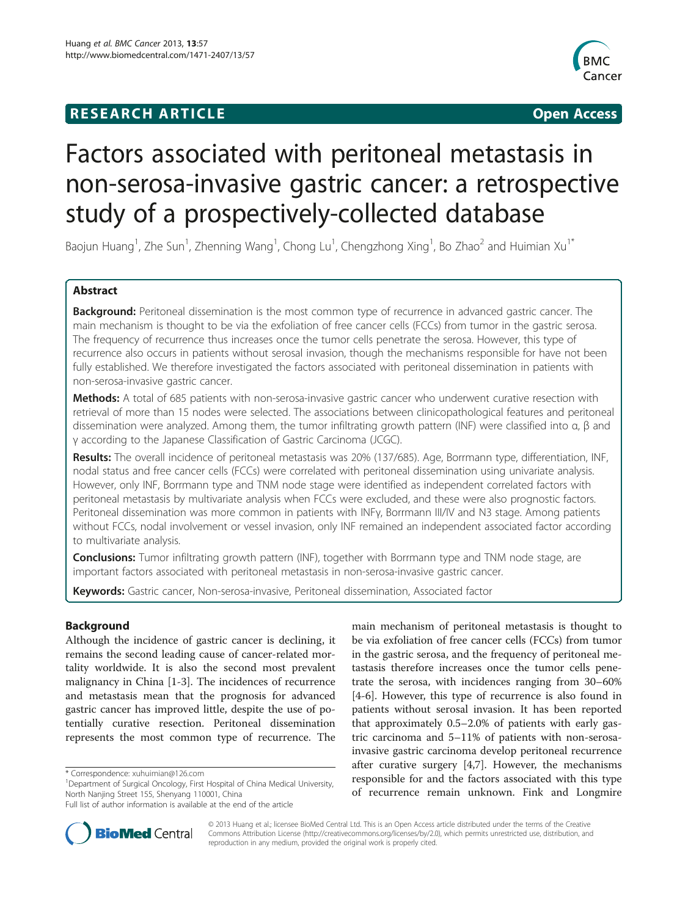## **RESEARCH ARTICLE Example 2018 12:00 Open Access**



# Factors associated with peritoneal metastasis in non-serosa-invasive gastric cancer: a retrospective study of a prospectively-collected database

Baojun Huang<sup>1</sup>, Zhe Sun<sup>1</sup>, Zhenning Wang<sup>1</sup>, Chong Lu<sup>1</sup>, Chengzhong Xing<sup>1</sup>, Bo Zhao<sup>2</sup> and Huimian Xu<sup>1\*</sup>

## Abstract

Background: Peritoneal dissemination is the most common type of recurrence in advanced gastric cancer. The main mechanism is thought to be via the exfoliation of free cancer cells (FCCs) from tumor in the gastric serosa. The frequency of recurrence thus increases once the tumor cells penetrate the serosa. However, this type of recurrence also occurs in patients without serosal invasion, though the mechanisms responsible for have not been fully established. We therefore investigated the factors associated with peritoneal dissemination in patients with non-serosa-invasive gastric cancer.

Methods: A total of 685 patients with non-serosa-invasive gastric cancer who underwent curative resection with retrieval of more than 15 nodes were selected. The associations between clinicopathological features and peritoneal dissemination were analyzed. Among them, the tumor infiltrating growth pattern (INF) were classified into α, β and γ according to the Japanese Classification of Gastric Carcinoma (JCGC).

Results: The overall incidence of peritoneal metastasis was 20% (137/685). Age, Borrmann type, differentiation, INF, nodal status and free cancer cells (FCCs) were correlated with peritoneal dissemination using univariate analysis. However, only INF, Borrmann type and TNM node stage were identified as independent correlated factors with peritoneal metastasis by multivariate analysis when FCCs were excluded, and these were also prognostic factors. Peritoneal dissemination was more common in patients with INFγ, Borrmann III/IV and N3 stage. Among patients without FCCs, nodal involvement or vessel invasion, only INF remained an independent associated factor according to multivariate analysis.

**Conclusions:** Tumor infiltrating growth pattern (INF), together with Borrmann type and TNM node stage, are important factors associated with peritoneal metastasis in non-serosa-invasive gastric cancer.

Keywords: Gastric cancer, Non-serosa-invasive, Peritoneal dissemination, Associated factor

## **Background**

Although the incidence of gastric cancer is declining, it remains the second leading cause of cancer-related mortality worldwide. It is also the second most prevalent malignancy in China [\[1](#page-6-0)-[3\]](#page-6-0). The incidences of recurrence and metastasis mean that the prognosis for advanced gastric cancer has improved little, despite the use of potentially curative resection. Peritoneal dissemination represents the most common type of recurrence. The main mechanism of peritoneal metastasis is thought to be via exfoliation of free cancer cells (FCCs) from tumor in the gastric serosa, and the frequency of peritoneal metastasis therefore increases once the tumor cells penetrate the serosa, with incidences ranging from 30–60% [[4-6](#page-6-0)]. However, this type of recurrence is also found in patients without serosal invasion. It has been reported that approximately 0.5–2.0% of patients with early gastric carcinoma and 5–11% of patients with non-serosainvasive gastric carcinoma develop peritoneal recurrence after curative surgery [\[4,7](#page-6-0)]. However, the mechanisms responsible for and the factors associated with this type of recurrence remain unknown. Fink and Longmire



© 2013 Huang et al.; licensee BioMed Central Ltd. This is an Open Access article distributed under the terms of the Creative Commons Attribution License [\(http://creativecommons.org/licenses/by/2.0\)](http://creativecommons.org/licenses/by/2.0), which permits unrestricted use, distribution, and reproduction in any medium, provided the original work is properly cited.

<sup>\*</sup> Correspondence: [xuhuimian@126.com](mailto:xuhuimian@126.com) <sup>1</sup>

<sup>&</sup>lt;sup>1</sup>Department of Surgical Oncology, First Hospital of China Medical University, North Nanjing Street 155, Shenyang 110001, China

Full list of author information is available at the end of the article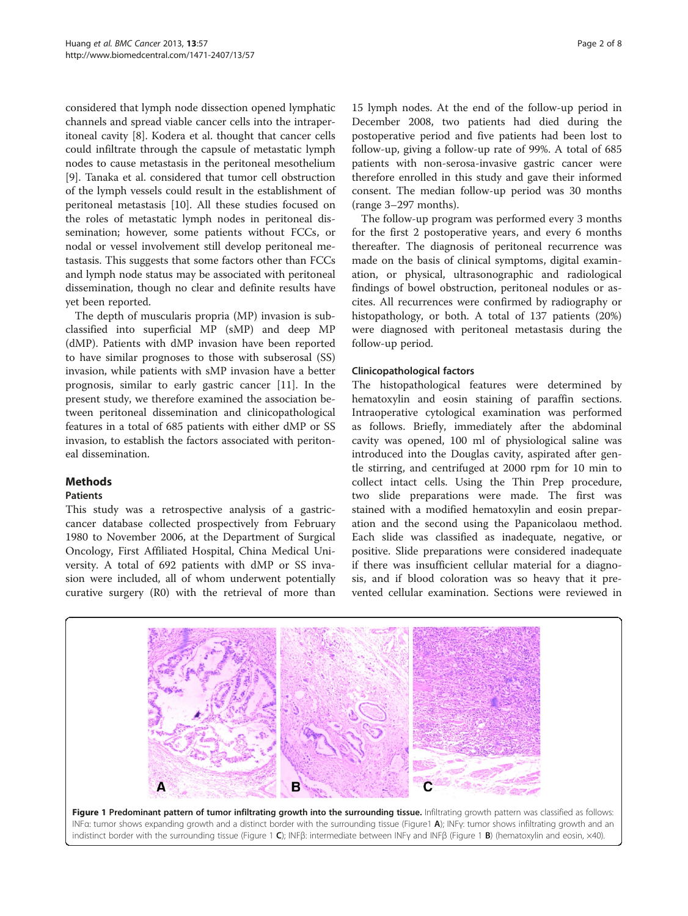<span id="page-1-0"></span>considered that lymph node dissection opened lymphatic channels and spread viable cancer cells into the intraperitoneal cavity [[8\]](#page-6-0). Kodera et al. thought that cancer cells could infiltrate through the capsule of metastatic lymph nodes to cause metastasis in the peritoneal mesothelium [[9\]](#page-6-0). Tanaka et al. considered that tumor cell obstruction of the lymph vessels could result in the establishment of peritoneal metastasis [\[10\]](#page-6-0). All these studies focused on the roles of metastatic lymph nodes in peritoneal dissemination; however, some patients without FCCs, or nodal or vessel involvement still develop peritoneal metastasis. This suggests that some factors other than FCCs and lymph node status may be associated with peritoneal dissemination, though no clear and definite results have yet been reported.

The depth of muscularis propria (MP) invasion is subclassified into superficial MP (sMP) and deep MP (dMP). Patients with dMP invasion have been reported to have similar prognoses to those with subserosal (SS) invasion, while patients with sMP invasion have a better prognosis, similar to early gastric cancer [[11\]](#page-6-0). In the present study, we therefore examined the association between peritoneal dissemination and clinicopathological features in a total of 685 patients with either dMP or SS invasion, to establish the factors associated with peritoneal dissemination.

## Methods

## Patients

This study was a retrospective analysis of a gastriccancer database collected prospectively from February 1980 to November 2006, at the Department of Surgical Oncology, First Affiliated Hospital, China Medical University. A total of 692 patients with dMP or SS invasion were included, all of whom underwent potentially curative surgery (R0) with the retrieval of more than 15 lymph nodes. At the end of the follow-up period in December 2008, two patients had died during the postoperative period and five patients had been lost to follow-up, giving a follow-up rate of 99%. A total of 685 patients with non-serosa-invasive gastric cancer were therefore enrolled in this study and gave their informed consent. The median follow-up period was 30 months (range 3–297 months).

The follow-up program was performed every 3 months for the first 2 postoperative years, and every 6 months thereafter. The diagnosis of peritoneal recurrence was made on the basis of clinical symptoms, digital examination, or physical, ultrasonographic and radiological findings of bowel obstruction, peritoneal nodules or ascites. All recurrences were confirmed by radiography or histopathology, or both. A total of 137 patients (20%) were diagnosed with peritoneal metastasis during the follow-up period.

## Clinicopathological factors

The histopathological features were determined by hematoxylin and eosin staining of paraffin sections. Intraoperative cytological examination was performed as follows. Briefly, immediately after the abdominal cavity was opened, 100 ml of physiological saline was introduced into the Douglas cavity, aspirated after gentle stirring, and centrifuged at 2000 rpm for 10 min to collect intact cells. Using the Thin Prep procedure, two slide preparations were made. The first was stained with a modified hematoxylin and eosin preparation and the second using the Papanicolaou method. Each slide was classified as inadequate, negative, or positive. Slide preparations were considered inadequate if there was insufficient cellular material for a diagnosis, and if blood coloration was so heavy that it prevented cellular examination. Sections were reviewed in

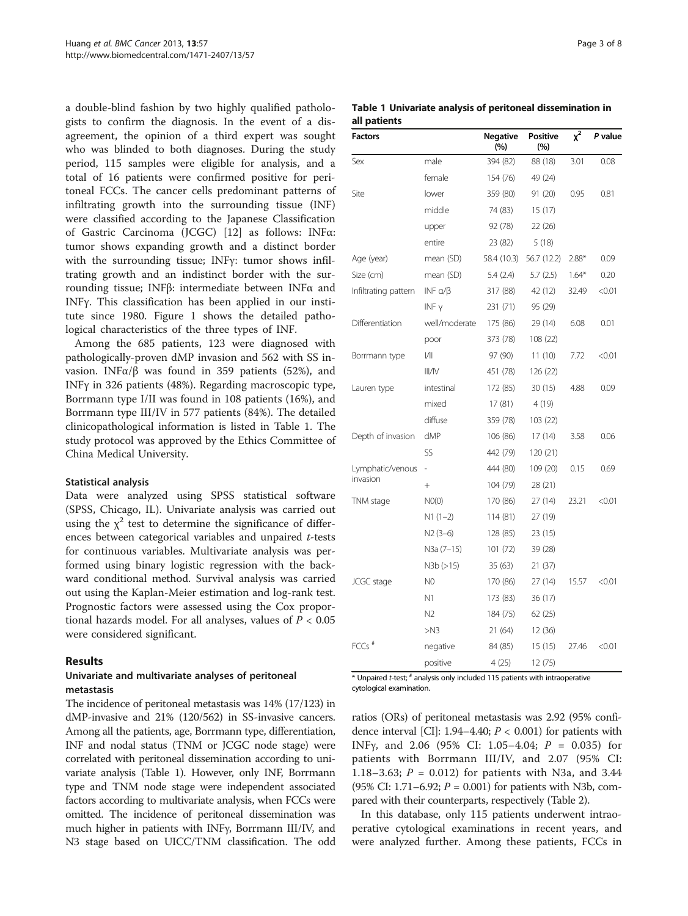<span id="page-2-0"></span>a double-blind fashion by two highly qualified pathologists to confirm the diagnosis. In the event of a disagreement, the opinion of a third expert was sought who was blinded to both diagnoses. During the study period, 115 samples were eligible for analysis, and a total of 16 patients were confirmed positive for peritoneal FCCs. The cancer cells predominant patterns of infiltrating growth into the surrounding tissue (INF) were classified according to the Japanese Classification of Gastric Carcinoma (JCGC) [[12\]](#page-6-0) as follows: INFα: tumor shows expanding growth and a distinct border with the surrounding tissue; INFγ: tumor shows infiltrating growth and an indistinct border with the surrounding tissue; INFβ: intermediate between INFα and INFγ. This classification has been applied in our institute since 1980. Figure [1](#page-1-0) shows the detailed pathological characteristics of the three types of INF.

Among the 685 patients, 123 were diagnosed with pathologically-proven dMP invasion and 562 with SS invasion. INFα/β was found in 359 patients (52%), and INFγ in 326 patients (48%). Regarding macroscopic type, Borrmann type I/II was found in 108 patients (16%), and Borrmann type III/IV in 577 patients (84%). The detailed clinicopathological information is listed in Table 1. The study protocol was approved by the Ethics Committee of China Medical University.

#### Statistical analysis

Data were analyzed using SPSS statistical software (SPSS, Chicago, IL). Univariate analysis was carried out using the  $\chi^2$  test to determine the significance of differences between categorical variables and unpaired t-tests for continuous variables. Multivariate analysis was performed using binary logistic regression with the backward conditional method. Survival analysis was carried out using the Kaplan-Meier estimation and log-rank test. Prognostic factors were assessed using the Cox proportional hazards model. For all analyses, values of  $P < 0.05$ were considered significant.

#### Results

## Univariate and multivariate analyses of peritoneal metastasis

The incidence of peritoneal metastasis was 14% (17/123) in dMP-invasive and 21% (120/562) in SS-invasive cancers. Among all the patients, age, Borrmann type, differentiation, INF and nodal status (TNM or JCGC node stage) were correlated with peritoneal dissemination according to univariate analysis (Table 1). However, only INF, Borrmann type and TNM node stage were independent associated factors according to multivariate analysis, when FCCs were omitted. The incidence of peritoneal dissemination was much higher in patients with INFγ, Borrmann III/IV, and N3 stage based on UICC/TNM classification. The odd

| Page 3 of 8 |  |  |  |
|-------------|--|--|--|
|-------------|--|--|--|

|              |  | Table 1 Univariate analysis of peritoneal dissemination in |  |
|--------------|--|------------------------------------------------------------|--|
| all patients |  |                                                            |  |

| <b>Factors</b>       |                    | Negative<br>$(\% )$ | Positive<br>$(\%)$ | $x^2$   | P value |
|----------------------|--------------------|---------------------|--------------------|---------|---------|
| Sex                  | male               | 394 (82)            | 88 (18)            | 3.01    | 0.08    |
|                      | female             | 154 (76)            | 49 (24)            |         |         |
| Site                 | lower              | 359 (80)            | 91 (20)            | 0.95    | 0.81    |
|                      | middle             | 74 (83)             | 15 (17)            |         |         |
|                      | upper              | 92 (78)             | 22 (26)            |         |         |
|                      | entire             | 23 (82)             | 5(18)              |         |         |
| Age (year)           | mean (SD)          | 58.4 (10.3)         | 56.7 (12.2)        | $2.88*$ | 0.09    |
| Size (cm)            | mean (SD)          | 5.4(2.4)            | 5.7 (2.5)          | $1.64*$ | 0.20    |
| Infiltrating pattern | INF $\alpha/\beta$ | 317 (88)            | 42 (12)            | 32.49   | < 0.01  |
|                      | INF <sub>Y</sub>   | 231 (71)            | 95 (29)            |         |         |
| Differentiation      | well/moderate      | 175 (86)            | 29 (14)            | 6.08    | 0.01    |
|                      | poor               | 373 (78)            | 108 (22)           |         |         |
| Borrmann type        | I/II               | 97 (90)             | 11(10)             | 7.72    | < 0.01  |
|                      | III/IV             | 451 (78)            | 126 (22)           |         |         |
| Lauren type          | intestinal         | 172 (85)            | 30(15)             | 4.88    | 0.09    |
|                      | mixed              | 17(81)              | 4 (19)             |         |         |
|                      | diffuse            | 359 (78)            | 103 (22)           |         |         |
| Depth of invasion    | dMP                | 106 (86)            | 17 (14)            | 3.58    | 0.06    |
|                      | SS                 | 442 (79)            | 120 (21)           |         |         |
| Lymphatic/venous     |                    | 444 (80)            | 109 (20)           | 0.15    | 0.69    |
| invasion             | $\ddot{}$          | 104 (79)            | 28 (21)            |         |         |
| TNM stage            | NO(0)              | 170 (86)            | 27(14)             | 23.21   | < 0.01  |
|                      | $N1(1-2)$          | 114 (81)            | 27 (19)            |         |         |
|                      | $N2(3-6)$          | 128 (85)            | 23 (15)            |         |         |
|                      | N3a (7–15)         | 101 (72)            | 39 (28)            |         |         |
|                      | N3b (>15)          | 35(63)              | 21 (37)            |         |         |
| JCGC stage           | N0                 | 170 (86)            | 27 (14)            | 15.57   | < 0.01  |
|                      | N1                 | 173 (83)            | 36 (17)            |         |         |
|                      | N2                 | 184 (75)            | 62 (25)            |         |         |
|                      | $>$ N3             | 21 (64)             | 12 (36)            |         |         |
| $FCCs$ <sup>#</sup>  | negative           | 84 (85)             | 15 (15)            | 27.46   | < 0.01  |
|                      | positive           | 4(25)               | 12 (75)            |         |         |

\* Unpaired t-test; # analysis only included 115 patients with intraoperative cytological examination.

ratios (ORs) of peritoneal metastasis was 2.92 (95% confidence interval [CI]: 1.94–4.40;  $P < 0.001$ ) for patients with INFγ, and 2.06 (95% CI: 1.05–4.04; P = 0.035) for patients with Borrmann III/IV, and 2.07 (95% CI: 1.18–3.63;  $P = 0.012$ ) for patients with N3a, and 3.44  $(95\% \text{ CI: } 1.71 - 6.92; P = 0.001)$  for patients with N3b, compared with their counterparts, respectively (Table [2\)](#page-3-0).

In this database, only 115 patients underwent intraoperative cytological examinations in recent years, and were analyzed further. Among these patients, FCCs in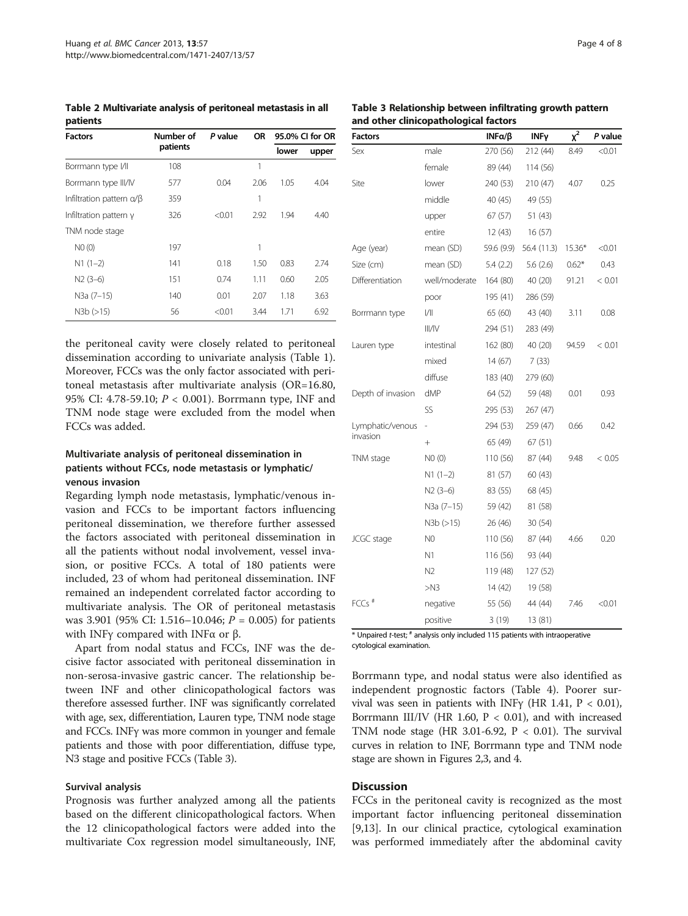<span id="page-3-0"></span>Table 2 Multivariate analysis of peritoneal metastasis in all patients

| <b>Factors</b>                      | Number of | P value | OR   | 95.0% CI for OR |       |
|-------------------------------------|-----------|---------|------|-----------------|-------|
|                                     | patients  |         |      | lower           | upper |
| Borrmann type I/II                  | 108       |         | 1    |                 |       |
| Borrmann type III/IV                | 577       | 0.04    | 2.06 | 1.05            | 4.04  |
| Infiltration pattern $\alpha/\beta$ | 359       |         |      |                 |       |
| Infiltration pattern $y$            | 326       | < 0.01  | 2.92 | 1.94            | 4.40  |
| TNM node stage                      |           |         |      |                 |       |
| NO(0)                               | 197       |         | 1    |                 |       |
| $N1(1-2)$                           | 141       | 0.18    | 1.50 | 0.83            | 2.74  |
| $N2(3-6)$                           | 151       | 0.74    | 1.11 | 0.60            | 2.05  |
| N3a (7-15)                          | 140       | 0.01    | 2.07 | 1.18            | 3.63  |
| N3b (>15)                           | 56        | < 0.01  | 3.44 | 1.71            | 6.92  |

the peritoneal cavity were closely related to peritoneal dissemination according to univariate analysis (Table [1](#page-2-0)). Moreover, FCCs was the only factor associated with peritoneal metastasis after multivariate analysis (OR=16.80, 95% CI: 4.78-59.10; P < 0.001). Borrmann type, INF and TNM node stage were excluded from the model when FCCs was added.

## Multivariate analysis of peritoneal dissemination in patients without FCCs, node metastasis or lymphatic/ venous invasion

Regarding lymph node metastasis, lymphatic/venous invasion and FCCs to be important factors influencing peritoneal dissemination, we therefore further assessed the factors associated with peritoneal dissemination in all the patients without nodal involvement, vessel invasion, or positive FCCs. A total of 180 patients were included, 23 of whom had peritoneal dissemination. INF remained an independent correlated factor according to multivariate analysis. The OR of peritoneal metastasis was 3.901 (95% CI: 1.516–10.046;  $P = 0.005$ ) for patients with INFγ compared with INFα or  $β$ .

Apart from nodal status and FCCs, INF was the decisive factor associated with peritoneal dissemination in non-serosa-invasive gastric cancer. The relationship between INF and other clinicopathological factors was therefore assessed further. INF was significantly correlated with age, sex, differentiation, Lauren type, TNM node stage and FCCs. INFγ was more common in younger and female patients and those with poor differentiation, diffuse type, N3 stage and positive FCCs (Table 3).

#### Survival analysis

Prognosis was further analyzed among all the patients based on the different clinicopathological factors. When the 12 clinicopathological factors were added into the multivariate Cox regression model simultaneously, INF,

|  | Page 4 of 8 |  |  |  |
|--|-------------|--|--|--|
|--|-------------|--|--|--|

#### Table 3 Relationship between infiltrating growth pattern and other clinicopathological factors

| <b>Factors</b>      |                | INFa/B     | <b>INFy</b> | $x^2$   | P value |
|---------------------|----------------|------------|-------------|---------|---------|
| Sex                 | male           | 270 (56)   | 212 (44)    | 8.49    | < 0.01  |
|                     | female         | 89 (44)    | 114 (56)    |         |         |
| Site                | lower          | 240 (53)   | 210 (47)    | 4.07    | 0.25    |
|                     | middle         | 40 (45)    | 49 (55)     |         |         |
|                     | upper          | 67(57)     | 51(43)      |         |         |
|                     | entire         | 12(43)     | 16(57)      |         |         |
| Age (year)          | mean (SD)      | 59.6 (9.9) | 56.4 (11.3) | 15.36*  | < 0.01  |
| Size (cm)           | mean (SD)      | 5.4(2.2)   | 5.6(2.6)    | $0.62*$ | 0.43    |
| Differentiation     | well/moderate  | 164 (80)   | 40 (20)     | 91.21   | < 0.01  |
|                     | poor           | 195 (41)   | 286 (59)    |         |         |
| Borrmann type       | $\frac{1}{1}$  | 65(60)     | 43 (40)     | 3.11    | 0.08    |
|                     | III/IV         | 294 (51)   | 283 (49)    |         |         |
| Lauren type         | intestinal     | 162 (80)   | 40 (20)     | 94.59   | < 0.01  |
|                     | mixed          | 14(67)     | 7(33)       |         |         |
|                     | diffuse        | 183 (40)   | 279 (60)    |         |         |
| Depth of invasion   | dMP            | 64 (52)    | 59 (48)     | 0.01    | 0.93    |
|                     | SS             | 295 (53)   | 267 (47)    |         |         |
| Lymphatic/venous    |                | 294 (53)   | 259 (47)    | 0.66    | 0.42    |
| invasion            | $^{+}$         | 65 (49)    | 67(51)      |         |         |
| TNM stage           | NO(0)          | 110 (56)   | 87 (44)     | 9.48    | < 0.05  |
|                     | $N1(1-2)$      | 81 (57)    | 60(43)      |         |         |
|                     | $N2(3-6)$      | 83 (55)    | 68 (45)     |         |         |
|                     | N3a (7–15)     | 59 (42)    | 81 (58)     |         |         |
|                     | N3b (>15)      | 26 (46)    | 30 (54)     |         |         |
| JCGC stage          | N <sub>0</sub> | 110 (56)   | 87 (44)     | 4.66    | 0.20    |
|                     | N1             | 116 (56)   | 93 (44)     |         |         |
|                     | N <sub>2</sub> | 119 (48)   | 127 (52)    |         |         |
|                     | $>$ N3         | 14 (42)    | 19 (58)     |         |         |
| $FCCs$ <sup>#</sup> | negative       | 55 (56)    | 44 (44)     | 7.46    | < 0.01  |
|                     | positive       | 3(19)      | 13 (81)     |         |         |

\* Unpaired t-test; # analysis only included 115 patients with intraoperative cytological examination.

Borrmann type, and nodal status were also identified as independent prognostic factors (Table [4\)](#page-4-0). Poorer survival was seen in patients with INFγ (HR 1.41,  $P < 0.01$ ), Borrmann III/IV (HR 1.60,  $P < 0.01$ ), and with increased TNM node stage (HR 3.01-6.92,  $P < 0.01$ ). The survival curves in relation to INF, Borrmann type and TNM node stage are shown in Figures [2](#page-4-0)[,3](#page-5-0), and [4.](#page-5-0)

## **Discussion**

FCCs in the peritoneal cavity is recognized as the most important factor influencing peritoneal dissemination [[9,13\]](#page-6-0). In our clinical practice, cytological examination was performed immediately after the abdominal cavity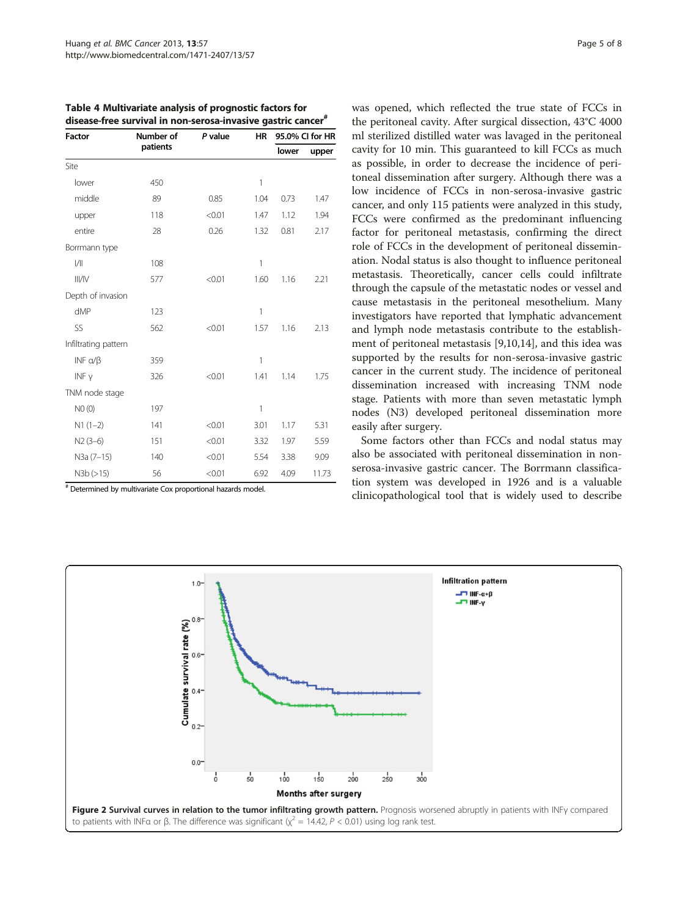| Factor                 | Number of | <b>SUIVING ITT HOLL SCLOSE THRESHVE GESTIN CENTER</b><br>P value | HR   | 95.0% CI for HR |       |
|------------------------|-----------|------------------------------------------------------------------|------|-----------------|-------|
|                        | patients  |                                                                  |      | lower           | upper |
| Site                   |           |                                                                  |      |                 |       |
| lower                  | 450       |                                                                  | 1    |                 |       |
| middle                 | 89        | 0.85                                                             | 1.04 | 0.73            | 1.47  |
| upper                  | 118       | < 0.01                                                           | 1.47 | 1.12            | 1.94  |
| entire                 | 28        | 0.26                                                             | 1.32 | 0.81            | 2.17  |
| Borrmann type          |           |                                                                  |      |                 |       |
| /                      | 108       |                                                                  | 1    |                 |       |
| III/V                  | 577       | < 0.01                                                           | 1.60 | 1.16            | 2.21  |
| Depth of invasion      |           |                                                                  |      |                 |       |
| dMP                    | 123       |                                                                  | 1    |                 |       |
| SS                     | 562       | < 0.01                                                           | 1.57 | 1.16            | 2.13  |
| Infiltrating pattern   |           |                                                                  |      |                 |       |
| INF $\alpha$ / $\beta$ | 359       |                                                                  | 1    |                 |       |
| INFV                   | 326       | < 0.01                                                           | 1.41 | 1.14            | 1.75  |
| TNM node stage         |           |                                                                  |      |                 |       |
| NO(0)                  | 197       |                                                                  | 1    |                 |       |
| $N1(1-2)$              | 141       | < 0.01                                                           | 3.01 | 1.17            | 5.31  |
| $N2(3-6)$              | 151       | < 0.01                                                           | 3.32 | 1.97            | 5.59  |
| N3a (7-15)             | 140       | < 0.01                                                           | 5.54 | 3.38            | 9.09  |
| N3b (>15)              | 56        | < 0.01                                                           | 6.92 | 4.09            | 11.73 |

<span id="page-4-0"></span>Table 4 Multivariate analysis of prognostic factors for disease-free survival in non-serosa-invasive gastric cancer#

 $#$  Determined by multivariate Cox proportional hazards model.

was opened, which reflected the true state of FCCs in the peritoneal cavity. After surgical dissection, 43°C 4000 ml sterilized distilled water was lavaged in the peritoneal cavity for 10 min. This guaranteed to kill FCCs as much as possible, in order to decrease the incidence of peritoneal dissemination after surgery. Although there was a low incidence of FCCs in non-serosa-invasive gastric cancer, and only 115 patients were analyzed in this study, FCCs were confirmed as the predominant influencing factor for peritoneal metastasis, confirming the direct role of FCCs in the development of peritoneal dissemination. Nodal status is also thought to influence peritoneal metastasis. Theoretically, cancer cells could infiltrate through the capsule of the metastatic nodes or vessel and cause metastasis in the peritoneal mesothelium. Many investigators have reported that lymphatic advancement and lymph node metastasis contribute to the establishment of peritoneal metastasis [\[9,10,14](#page-6-0)], and this idea was supported by the results for non-serosa-invasive gastric cancer in the current study. The incidence of peritoneal dissemination increased with increasing TNM node stage. Patients with more than seven metastatic lymph nodes (N3) developed peritoneal dissemination more easily after surgery.

Some factors other than FCCs and nodal status may also be associated with peritoneal dissemination in nonserosa-invasive gastric cancer. The Borrmann classification system was developed in 1926 and is a valuable clinicopathological tool that is widely used to describe

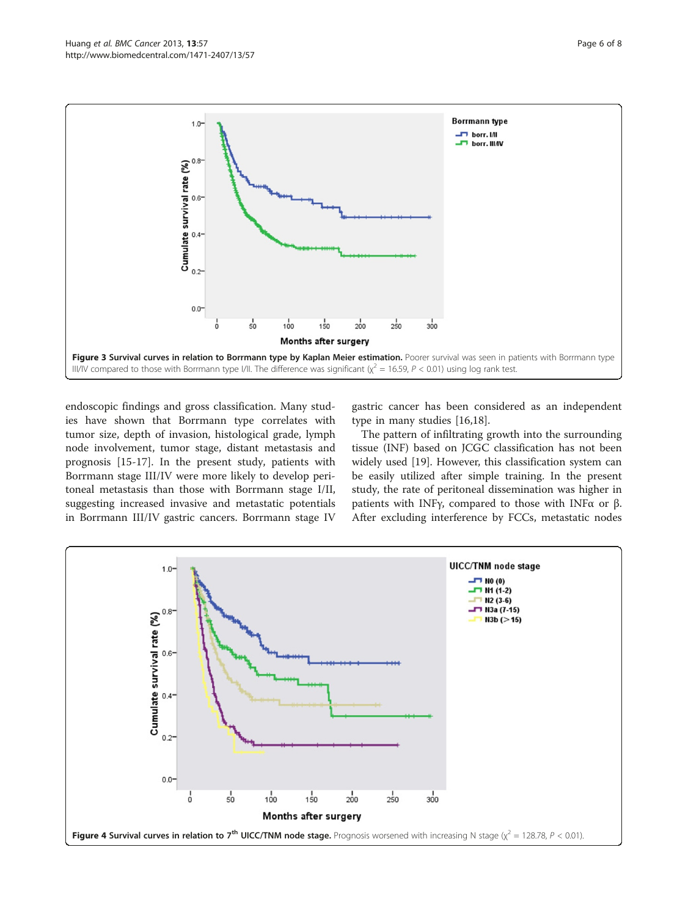<span id="page-5-0"></span>

endoscopic findings and gross classification. Many studies have shown that Borrmann type correlates with tumor size, depth of invasion, histological grade, lymph node involvement, tumor stage, distant metastasis and prognosis [\[15](#page-6-0)-[17\]](#page-6-0). In the present study, patients with Borrmann stage III/IV were more likely to develop peritoneal metastasis than those with Borrmann stage I/II, suggesting increased invasive and metastatic potentials in Borrmann III/IV gastric cancers. Borrmann stage IV

gastric cancer has been considered as an independent type in many studies [\[16,18](#page-6-0)].

The pattern of infiltrating growth into the surrounding tissue (INF) based on JCGC classification has not been widely used [\[19](#page-7-0)]. However, this classification system can be easily utilized after simple training. In the present study, the rate of peritoneal dissemination was higher in patients with INFγ, compared to those with INF $α$  or  $β$ . After excluding interference by FCCs, metastatic nodes

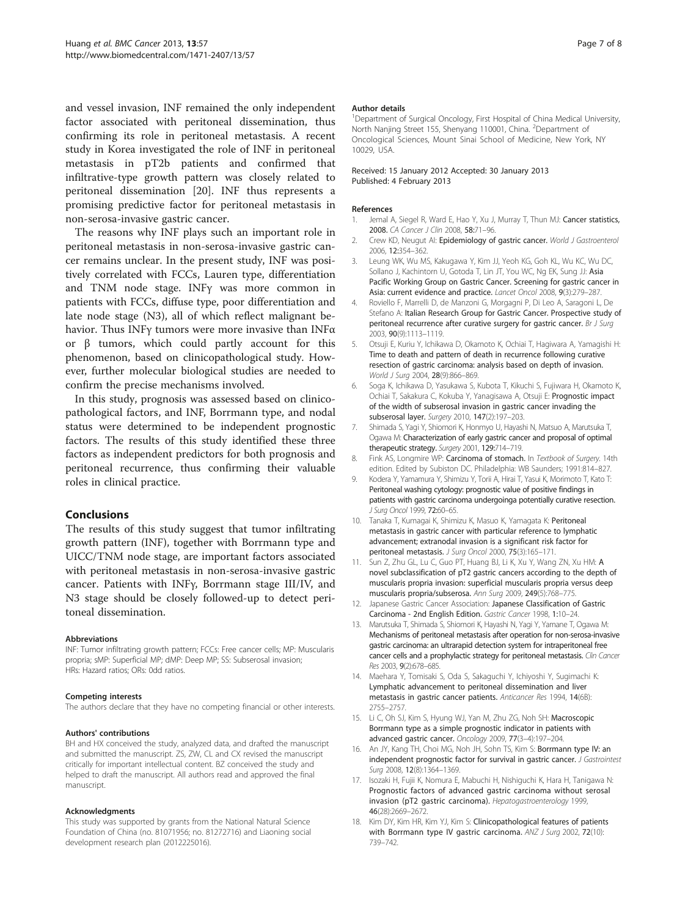<span id="page-6-0"></span>and vessel invasion, INF remained the only independent factor associated with peritoneal dissemination, thus confirming its role in peritoneal metastasis. A recent study in Korea investigated the role of INF in peritoneal metastasis in pT2b patients and confirmed that infiltrative-type growth pattern was closely related to peritoneal dissemination [\[20\]](#page-7-0). INF thus represents a promising predictive factor for peritoneal metastasis in non-serosa-invasive gastric cancer.

The reasons why INF plays such an important role in peritoneal metastasis in non-serosa-invasive gastric cancer remains unclear. In the present study, INF was positively correlated with FCCs, Lauren type, differentiation and TNM node stage. INFγ was more common in patients with FCCs, diffuse type, poor differentiation and late node stage (N3), all of which reflect malignant behavior. Thus INFγ tumors were more invasive than INFα or β tumors, which could partly account for this phenomenon, based on clinicopathological study. However, further molecular biological studies are needed to confirm the precise mechanisms involved.

In this study, prognosis was assessed based on clinicopathological factors, and INF, Borrmann type, and nodal status were determined to be independent prognostic factors. The results of this study identified these three factors as independent predictors for both prognosis and peritoneal recurrence, thus confirming their valuable roles in clinical practice.

#### Conclusions

The results of this study suggest that tumor infiltrating growth pattern (INF), together with Borrmann type and UICC/TNM node stage, are important factors associated with peritoneal metastasis in non-serosa-invasive gastric cancer. Patients with INFγ, Borrmann stage III/IV, and N3 stage should be closely followed-up to detect peritoneal dissemination.

#### Abbreviations

INF: Tumor infiltrating growth pattern; FCCs: Free cancer cells; MP: Muscularis propria; sMP: Superficial MP; dMP: Deep MP; SS: Subserosal invasion; HRs: Hazard ratios; ORs: 0dd ratios.

#### Competing interests

The authors declare that they have no competing financial or other interests.

#### Authors' contributions

BH and HX conceived the study, analyzed data, and drafted the manuscript and submitted the manuscript. ZS, ZW, CL and CX revised the manuscript critically for important intellectual content. BZ conceived the study and helped to draft the manuscript. All authors read and approved the final manuscript.

#### Acknowledgments

This study was supported by grants from the National Natural Science Foundation of China (no. 81071956; no. 81272716) and Liaoning social development research plan (2012225016).

#### Author details

<sup>1</sup>Department of Surgical Oncology, First Hospital of China Medical University, North Nanjing Street 155, Shenyang 110001, China. <sup>2</sup>Department of Oncological Sciences, Mount Sinai School of Medicine, New York, NY 10029, USA.

#### Received: 15 January 2012 Accepted: 30 January 2013 Published: 4 February 2013

#### References

- 1. Jemal A, Siegel R, Ward E, Hao Y, Xu J, Murray T, Thun MJ: Cancer statistics, 2008. CA Cancer J Clin 2008, 58:71-96.
- 2. Crew KD, Neugut AI: Epidemiology of gastric cancer. World J Gastroenterol 2006, 12:354–362.
- 3. Leung WK, Wu MS, Kakugawa Y, Kim JJ, Yeoh KG, Goh KL, Wu KC, Wu DC, Sollano J, Kachintorn U, Gotoda T, Lin JT, You WC, Ng EK, Sung JJ: Asia Pacific Working Group on Gastric Cancer. Screening for gastric cancer in Asia: current evidence and practice. Lancet Oncol 2008, 9(3):279–287.
- 4. Roviello F, Marrelli D, de Manzoni G, Morgagni P, Di Leo A, Saragoni L, De Stefano A: Italian Research Group for Gastric Cancer. Prospective study of peritoneal recurrence after curative surgery for gastric cancer. Br J Surg 2003, 90(9):1113–1119.
- 5. Otsuji E, Kuriu Y, Ichikawa D, Okamoto K, Ochiai T, Hagiwara A, Yamagishi H: Time to death and pattern of death in recurrence following curative resection of gastric carcinoma: analysis based on depth of invasion. World J Surg 2004, 28(9):866–869.
- 6. Soga K, Ichikawa D, Yasukawa S, Kubota T, Kikuchi S, Fujiwara H, Okamoto K, Ochiai T, Sakakura C, Kokuba Y, Yanagisawa A, Otsuji E: Prognostic impact of the width of subserosal invasion in gastric cancer invading the subserosal layer. Surgery 2010, 147(2):197–203.
- 7. Shimada S, Yagi Y, Shiomori K, Honmyo U, Hayashi N, Matsuo A, Marutsuka T, Ogawa M: Characterization of early gastric cancer and proposal of optimal therapeutic strategy. Surgery 2001, 129:714-719.
- Fink AS, Longmire WP: Carcinoma of stomach. In Textbook of Surgery. 14th edition. Edited by Subiston DC. Philadelphia: WB Saunders; 1991:814–827.
- 9. Kodera Y, Yamamura Y, Shimizu Y, Torii A, Hirai T, Yasui K, Morimoto T, Kato T: Peritoneal washing cytology: prognostic value of positive findings in patients with gastric carcinoma undergoinga potentially curative resection. J Surg Oncol 1999, 72:60–65.
- 10. Tanaka T, Kumagai K, Shimizu K, Masuo K, Yamagata K: Peritoneal metastasis in gastric cancer with particular reference to lymphatic advancement; extranodal invasion is a significant risk factor for peritoneal metastasis. J Surg Oncol 2000, 75(3):165–171.
- 11. Sun Z, Zhu GL, Lu C, Guo PT, Huang BJ, Li K, Xu Y, Wang ZN, Xu HM: A novel subclassification of pT2 gastric cancers according to the depth of muscularis propria invasion: superficial muscularis propria versus deep muscularis propria/subserosa. Ann Surg 2009, 249(5):768–775.
- 12. Japanese Gastric Cancer Association: Japanese Classification of Gastric Carcinoma - 2nd English Edition. Gastric Cancer 1998, 1:10–24.
- 13. Marutsuka T, Shimada S, Shiomori K, Hayashi N, Yagi Y, Yamane T, Ogawa M: Mechanisms of peritoneal metastasis after operation for non-serosa-invasive gastric carcinoma: an ultrarapid detection system for intraperitoneal free cancer cells and a prophylactic strategy for peritoneal metastasis. Clin Cancer Res 2003, 9(2):678–685.
- 14. Maehara Y, Tomisaki S, Oda S, Sakaguchi Y, Ichiyoshi Y, Sugimachi K: Lymphatic advancement to peritoneal dissemination and liver metastasis in gastric cancer patients. Anticancer Res 1994, 14(6B): 2755–2757.
- 15. Li C, Oh SJ, Kim S, Hyung WJ, Yan M, Zhu ZG, Noh SH: Macroscopic Borrmann type as a simple prognostic indicator in patients with advanced gastric cancer. Oncology 2009, 77(3–4):197–204.
- 16. An JY, Kang TH, Choi MG, Noh JH, Sohn TS, Kim S: Borrmann type IV: an independent prognostic factor for survival in gastric cancer. J Gastrointest Surg 2008, 12(8):1364–1369.
- 17. Isozaki H, Fujii K, Nomura E, Mabuchi H, Nishiguchi K, Hara H, Tanigawa N: Prognostic factors of advanced gastric carcinoma without serosal invasion (pT2 gastric carcinoma). Hepatogastroenterology 1999, 46(28):2669–2672.
- 18. Kim DY, Kim HR, Kim YJ, Kim S: Clinicopathological features of patients with Borrmann type IV gastric carcinoma. ANZ J Surg 2002, 72(10): 739–742.